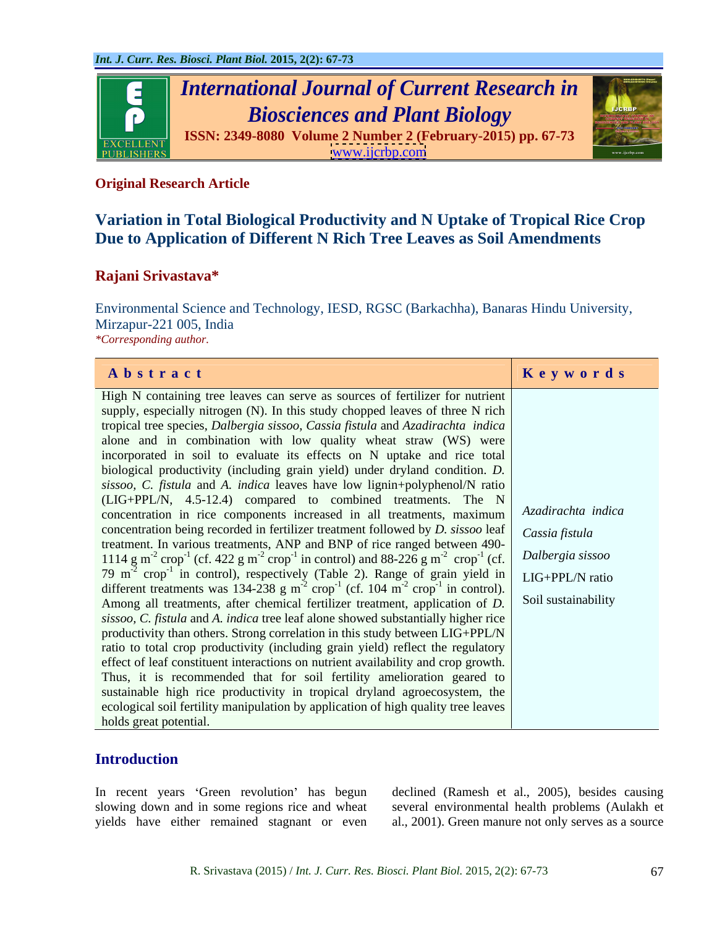

# **Original Research Article**

# **Variation in Total Biological Productivity and N Uptake of Tropical Rice Crop Due to Application of Different N Rich Tree Leaves as Soil Amendments**

# **Rajani Srivastava\***

Environmental Science and Technology, IESD, RGSC (Barkachha), Banaras Hindu University, Mirzapur-221 005, India *\*Corresponding author.\*Corresponding author.*

| Abstract                                                                                                                                                 | Keywords            |
|----------------------------------------------------------------------------------------------------------------------------------------------------------|---------------------|
| High N containing tree leaves can serve as sources of fertilizer for nutrient                                                                            |                     |
| supply, especially nitrogen (N). In this study chopped leaves of three N rich                                                                            |                     |
| tropical tree species, Dalbergia sissoo, Cassia fistula and Azadirachta indica                                                                           |                     |
| alone and in combination with low quality wheat straw (WS) were                                                                                          |                     |
| incorporated in soil to evaluate its effects on N uptake and rice total                                                                                  |                     |
| biological productivity (including grain yield) under dryland condition. D.                                                                              |                     |
| sissoo, C. fistula and A. indica leaves have low lignin+polyphenol/N ratio                                                                               |                     |
| (LIG+PPL/N, 4.5-12.4) compared to combined treatments. The N                                                                                             |                     |
| concentration in rice components increased in all treatments, maximum   Azadirachta indica                                                               |                     |
| concentration being recorded in fertilizer treatment followed by $D$ . sissoo leaf                                                                       | Cassia fistula      |
| treatment. In various treatments, ANP and BNP of rice ranged between 490-                                                                                |                     |
| 1114 g m <sup>-2</sup> crop <sup>-1</sup> (cf. 422 g m <sup>-2</sup> crop <sup>-1</sup> in control) and 88-226 g m <sup>-2</sup> crop <sup>-1</sup> (cf. | Dalbergia sissoo    |
| 79 m <sup>-2</sup> crop <sup>-1</sup> in control), respectively (Table 2). Range of grain yield in LIG+PPL/N ratio                                       |                     |
| different treatments was 134-238 g $m^2$ crop <sup>-1</sup> (cf. 104 $m^2$ crop <sup>-1</sup> in control).                                               |                     |
| Among all treatments, after chemical fertilizer treatment, application of D.                                                                             | Soil sustainability |
| sissoo, C. fistula and A. indica tree leaf alone showed substantially higher rice                                                                        |                     |
| productivity than others. Strong correlation in this study between LIG+PPL/N                                                                             |                     |
| ratio to total crop productivity (including grain yield) reflect the regulatory                                                                          |                     |
| effect of leaf constituent interactions on nutrient availability and crop growth.                                                                        |                     |
| Thus, it is recommended that for soil fertility amelioration geared to                                                                                   |                     |
| sustainable high rice productivity in tropical dryland agroecosystem, the                                                                                |                     |
| ecological soil fertility manipulation by application of high quality tree leaves                                                                        |                     |
| holds great potential.                                                                                                                                   |                     |

## **Introduction**

yields have either remained stagnant or even al., 2001). Green manure not only serves as a source

In recent years 'Green revolution' has begun declined (Ramesh et al., 2005), besides causing slowing down and in some regions rice and wheat several environmental health problems (Aulakh et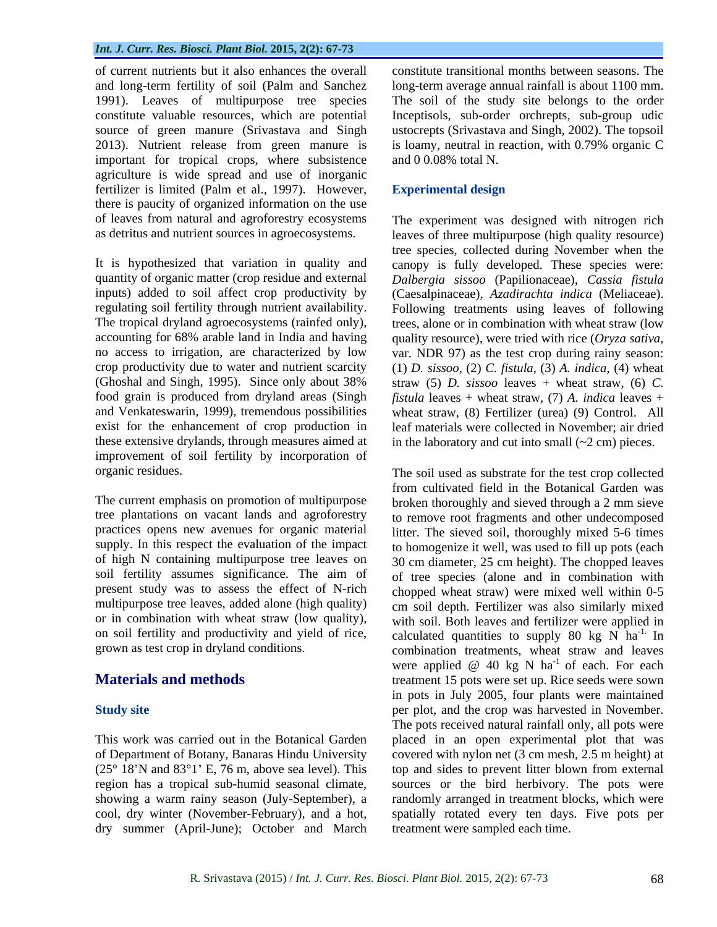important for tropical crops, where subsistence agriculture is wide spread and use of inorganic fertilizer is limited (Palm et al., 1997). However, Experimental design there is paucity of organized information on the use of leaves from natural and agroforestry ecosystems The experiment was designed with nitrogen rich

quantity of organic matter (crop residue and external *Dalbergia sissoo* (Papilionaceae)*, Cassia fistula* inputs) added to soil affect crop productivity by (Caesalpinaceae)*, Azadirachta indica* (Meliaceae). regulating soil fertility through nutrient availability. Following treatments using leaves of following The tropical dryland agroecosystems (rainfed only), accounting for 68% arable land in India and having quality resource), were tried with rice (*Oryza sativa*, no access to irrigation, are characterized by low var. NDR 97) as the test crop during rainy season: crop productivity due to water and nutrient scarcity (1) *D. sissoo*, (2) *C. fistula*, (3) *A. indica*, (4) wheat (Ghoshal and Singh, 1995). Since only about 38% food grain is produced from dryland areas (Singh *fistula* leaves + wheat straw, (7) *A. indica* leaves + and Venkateswarin, 1999), tremendous possibilities wheat straw, (8) Fertilizer (urea) (9) Control. All exist for the enhancement of crop production in leaf materials were collected in November; air dried these extensive drylands, through measures aimed at in the laboratory and cut into small  $(\sim 2 \text{ cm})$  pieces. improvement of soil fertility by incorporation of

tree plantations on vacant lands and agroforestry supply. In this respect the evaluation of the impact of high N containing multipurpose tree leaves on multipurpose tree leaves, added alone (high quality) or in combination with wheat straw (low quality),

dry summer (April-June); October and March

of current nutrients but it also enhances the overall constitute transitional months between seasons. The and long-term fertility of soil (Palm and Sanchez long-term average annual rainfall is about 1100 mm. 1991). Leaves of multipurpose tree species The soil of the study site belongs to the order constitute valuable resources, which are potential Inceptisols, sub-order orchrepts, sub-group udic source of green manure (Srivastava and Singh ustocrepts (Srivastava and Singh, 2002). The topsoil 2013). Nutrient release from green manure is is loamy, neutral in reaction, with 0.79% organic C and 0 0.08% total N.

## **Experimental design**

as detritus and nutrient sources in agroecosystems. leaves of three multipurpose (high quality resource) It is hypothesized that variation in quality and canopy is fully developed. These species were: tree species, collected during November when the trees, alone or in combination with wheat straw (low straw (5) *D. sissoo* leaves + wheat straw, (6) *C.* 

organic residues. The soil used as substrate for the test crop collected The current emphasis on promotion of multipurpose broken thoroughly and sieved through a 2 mm sieve practices opens new avenues for organic material litter. The sieved soil, thoroughly mixed 5-6 times soil fertility assumes significance. The aim of of tree species (alone and in combination with present study was to assess the effect of N-rich chopped wheat straw) were mixed well within 0-5 on soil fertility and productivity and yield of rice, calculated quantities to supply 80 kg  $\hat{N}$  ha<sup>-1.</sup> In grown as test crop in dryland conditions. combination treatments, wheat straw and leaves **Materials and methods** treatment 15 pots were set up. Rice seeds were sown **Study site per plot**, and the crop was harvested in November. This work was carried out in the Botanical Garden placed in an open experimental plot that was of Department of Botany, Banaras Hindu University covered with nylon net (3 cm mesh,2.5 m height) at  $(25^{\circ}~18'N$  and  $83^{\circ}1'$  E, 76 m, above sea level). This top and sides to prevent litter blown from external region has a tropical sub-humid seasonal climate, sources or the bird herbivory. The pots were showing a warm rainy season (July-September), a randomly arranged in treatment blocks, which were cool, dry winter (November-February), and a hot, spatially rotated every ten days. Five pots per from cultivated field in the Botanical Garden was to remove root fragments and other undecomposed to homogenize it well, was used to fill up pots (each 30 cm diameter, 25 cm height). The chopped leaves cm soil depth. Fertilizer was also similarly mixed with soil. Both leaves and fertilizer were applied in  $\mathbb{I}^1$ . In were applied  $\omega$  40 kg N ha<sup>-1</sup> of each. For each <sup>-1</sup> of each. For each in pots in July 2005, four plants were maintained The pots received natural rainfall only, all pots were treatment were sampled each time.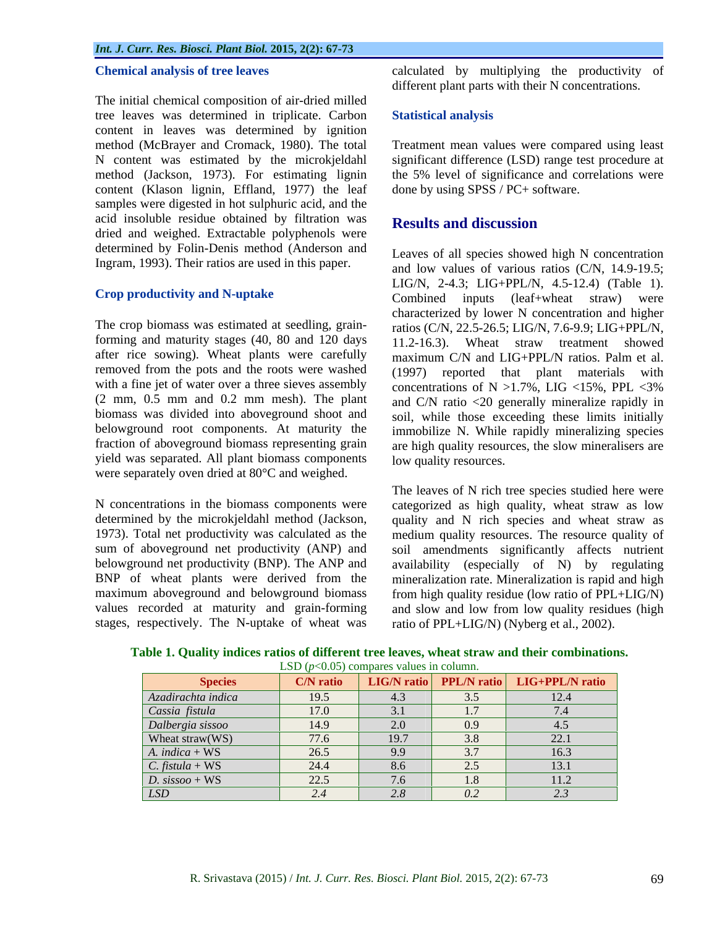The initial chemical composition of air-dried milled tree leaves was determined in triplicate. Carbon content in leaves was determined by ignition method (McBrayer and Cromack, 1980). The total Treatment mean values were compared using least N content was estimated by the microkjeldahl significant difference (LSD) range test procedure at method (Jackson, 1973). For estimating lignin the 5% level of significance and correlations were content (Klason lignin, Effland, 1977) the leaf samples were digested in hot sulphuric acid, and the acid insoluble residue obtained by filtration was Results and discussion dried and weighed. Extractable polyphenols were determined by Folin-Denis method (Anderson and Ingram, 1993). Their ratios are used in this paper.

after rice sowing). Wheat plants were carefully removed from the pots and the roots were washed (2 mm, 0.5 mm and 0.2 mm mesh). The plant yield was separated. All plant biomass components were separately oven dried at 80°C and weighed.

stages, respectively. The N-uptake of wheat was

**Chemical analysis of tree leaves** calculated by multiplying the productivity of different plant parts with their N concentrations.

## **Statistical analysis**

done by using SPSS / PC+ software.

# **Results and discussion**

**Crop productivity and N-uptake** Combined inputs (leaf+wheat straw) were The crop biomass was estimated at seedling, grain-<br>
ratios (C/N, 22.5-26.5; LIG/N, 7.6-9.9; LIG+PPL/N, forming and maturity stages (40, 80 and 120 days 11.2-16.3). Wheat straw treatment showed with a fine jet of water over a three sieves assembly concentrations of  $N > 1.7\%$ , LIG <15%, PPL <3% biomass was divided into aboveground shoot and soil, while those exceeding these limits initially belowground root components. At maturity the immobilize N. While rapidly mineralizing species fraction of aboveground biomass representing grain are high quality resources, the slow mineralisers are Leaves of all species showed high N concentration and low values of various ratios (C/N, 14.9-19.5; LIG/N, 2-4.3; LIG+PPL/N, 4.5-12.4) (Table 1). Combined inputs (leaf+wheat straw) were characterized by lower N concentration and higher maximum C/N and LIG+PPL/N ratios. Palm et al. (1997) reported that plant materials with and C/N ratio <20 generally mineralize rapidly in low quality resources.

N concentrations in the biomass components were categorized as high quality, wheat straw as low determined by the microkjeldahl method (Jackson, quality and N rich species and wheat straw as 1973). Total net productivity was calculated as the medium quality resources. The resource quality of sum of aboveground net productivity (ANP) and soil amendments significantly affects nutrient belowground net productivity (BNP). The ANP and availability (especially of N) by regulating BNP of wheat plants were derived from the mineralization rate. Mineralization is rapid and high maximum aboveground and belowground biomass from high quality residue (lowratio of PPL+LIG/N) values recorded at maturity and grain-forming and slow and low from low quality residues (high The leaves of N rich tree species studied here were ratio of PPL+LIG/N) (Nyberg et al., 2002).

| <b>Species</b>               | C/N ratio |      |                  | LIG/N ratio   PPL/N ratio   LIG+PPL/N ratio |
|------------------------------|-----------|------|------------------|---------------------------------------------|
| Azadirachta indica           | 19.5      | 4.3  | 3.5              | 12.4                                        |
| Cassia fistula               | 17.0      | 3.1  | 1.7              | 7.4                                         |
| Dalbergia sissoo             | 14.9      | 2.0  | 0.9              | 4.5                                         |
| Wheat straw(WS)              | 77.6      | 19.7 | 3.8              | 22.1                                        |
| $\boxed{A.~indica + WS}$     | 26.5      | 9.9  | $\overline{3.7}$ | 16.3                                        |
| $\overline{C}.$ fistula + WS | 24.4      | 8.6  | 2.5              | $\frac{13.1}{11.2}$                         |
| $\overline{D. sissoo + WS}$  | 22.5      | 7.6  | $\overline{1.8}$ |                                             |
| LSD                          |           | 2.8  | 0.2              | 2.3                                         |

**Table 1. Quality indices ratios of different tree leaves, wheat straw and their combinations.** LSD ( $p<0.05$ ) compares values in column.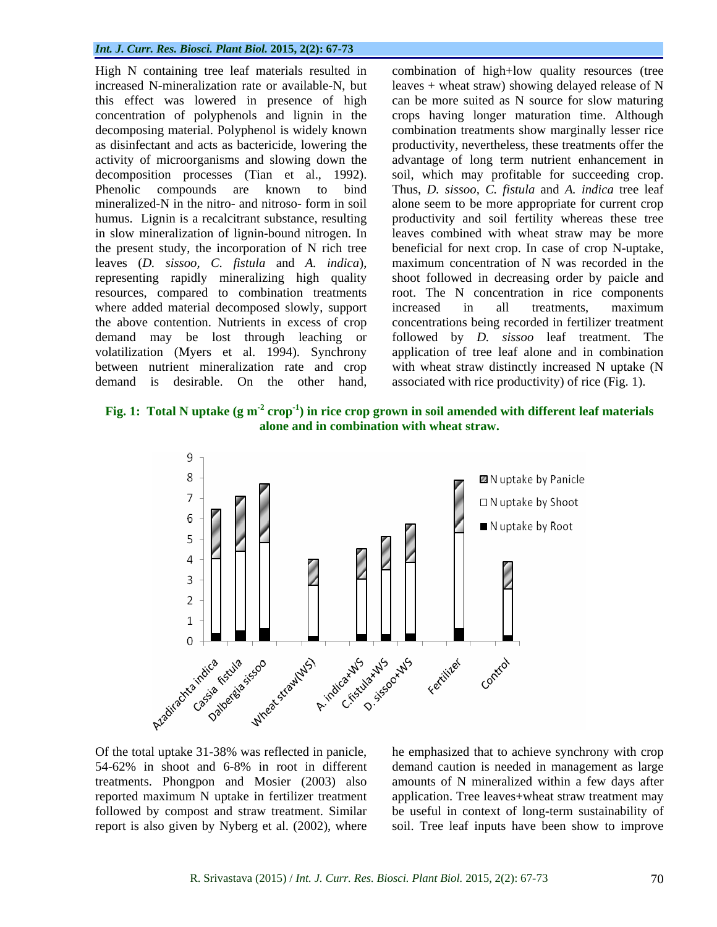High N containing tree leaf materials resulted in combination of high+low quality resources (tree increased N-mineralization rate or available-N, but leaves + wheat straw) showing delayed release of N this effect was lowered in presence of high concentration of polyphenols and lignin in the crops having longer maturation time. Although decomposing material. Polyphenol is widely known as disinfectant and acts as bactericide, lowering the productivity, nevertheless, these treatments offer the activity of microorganisms and slowing down the advantage of long term nutrient enhancement in decomposition processes (Tian et al., 1992). soil, which may profitable for succeeding crop. Phenolic compounds are known to bind Thus, *D. sissoo, C. fistula* and *A. indica* tree leaf mineralized-N in the nitro- and nitroso- form in soil alone seem to be more appropriate for current crop humus. Lignin is a recalcitrant substance, resulting productivity and soil fertility whereas these tree in slow mineralization of lignin-bound nitrogen. In leaves combined with wheat straw may be more the present study, the incorporation of N rich tree beneficial for next crop. In case of crop N-uptake, leaves (*D. sissoo, C. fistula* and *A. indica*), maximum concentration of N was recorded in the representing rapidly mineralizing high quality shoot followed in decreasing order by paicle and resources, compared to combination treatments root. The N concentration in rice components where added material decomposed slowly, support increased in all treatments, maximum the above contention. Nutrients in excess of crop concentrations being recorded in fertilizer treatment demand may be lost through leaching or followed by *D. sissoo* leaf treatment. The volatilization (Myers et al. 1994). Synchrony application of tree leaf alone and in combination between nutrient mineralization rate and crop with wheat straw distinctly increased N uptake (N High N containing tree leaf materials resulted in combination of high-low quality resources (tree<br>increased N-mineralization rate or available-N, but leaves + wheat straw) showing delayed release of N<br>inis effect was lowe

can be more suited as N source for slow maturing combination treatments show marginally lesser rice increased in all treatments, maximum associated with rice productivity) of rice (Fig. 1).

**Fig. 1: Total N uptake (g m-2 crop-1 ) in rice crop grown in soil amended with different leaf materials alone and in combination with wheat straw.**



Of the total uptake 31-38% was reflected in panicle, he emphasized that to achieve synchrony with crop 54-62% in shoot and 6-8% in root in different demand caution is needed in management as large treatments. Phongpon and Mosier (2003) also amounts of N mineralized within a few days after reported maximum N uptake in fertilizer treatment application. Tree leaves+wheat straw treatment may followed by compost and straw treatment. Similar

report is also given by Nyberg et al. (2002), where soil. Tree leaf inputs have been show to improvebe useful in context of long-term sustainability of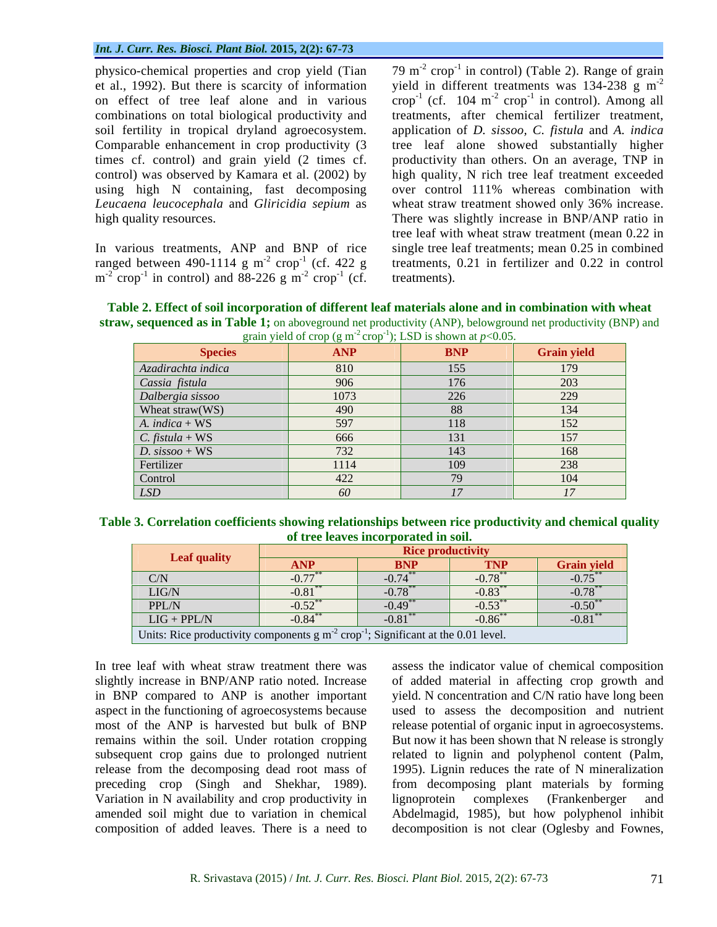combinations on total biological productivity and

In various treatments, ANP and BNP of rice  $m^{-2}$  crop<sup>-1</sup> in control) and 88-226 g  $m^{-2}$  crop<sup>-1</sup> (cf. treatments).

physico-chemical properties and crop yield (Tian  $-79 \text{ m}^{-2}$  crop<sup>-1</sup> in control) (Table 2). Range of grain et al., 1992). But there is scarcity of information yield in different treatments was 134-238 g m<sup>-2</sup> on effect of tree leaf alone and in various  $\text{ crop}^{-1}$  (cf. 104 m<sup>-2</sup> crop<sup>-1</sup> in control). Among all soil fertility in tropical dryland agroecosystem. application of *D. sissoo, C. fistula* and *A. indica* Comparable enhancement in crop productivity (3 tree leaf alone showed substantially higher times cf. control) and grain yield (2 times cf. productivity than others. On an average, TNP in control) was observed by Kamara et al. (2002) by high quality, N rich tree leaf treatment exceeded using high N containing, fast decomposing over control 111% whereas combination with *Leucaena leucocephala* and *Gliricidia sepium* as wheat straw treatment showed only 36% increase. high quality resources. There was slightly increase in BNP/ANP ratio in ranged between 490-1114 g m<sup>-2</sup> crop<sup>-1</sup> (cf. 422 g treatments, 0.21 in fertilizer and 0.22 in control  $e^{-2}$  crop<sup>-1</sup> (cf. 422 g treatments, 0.21 in fertilizer and 0.22 in control  $\epsilon^2$  aron  $(\epsilon f$  tractmants)  $\text{crop}^{-1}$  (cf. treatments).  $\frac{-1}{\sqrt{5}}$   $\frac{1}{\sqrt{5}}$   $\frac{1}{\sqrt{5}}$   $\frac{1}{\sqrt{5}}$   $\frac{1}{\sqrt{5}}$   $\frac{1}{\sqrt{5}}$   $\frac{1}{\sqrt{5}}$   $\frac{1}{\sqrt{5}}$   $\frac{1}{\sqrt{5}}$   $\frac{1}{\sqrt{5}}$   $\frac{1}{\sqrt{5}}$   $\frac{1}{\sqrt{5}}$   $\frac{1}{\sqrt{5}}$   $\frac{1}{\sqrt{5}}$   $\frac{1}{\sqrt{5}}$   $\frac{1}{\sqrt{5}}$   $\frac{1}{\sqrt{5}}$  The Tau of Table 2). Range of grain<br>
ion yield in different treatments was 134-238 g m<sup>-2</sup><br>
ous crop<sup>-1</sup> (cf. 104 m<sup>-2</sup> crop<sup>-1</sup> in control). Among all<br>
and treatments, after chemical fertilizer treatment,<br>
em. applicatio -2 in control). Among all treatments, after chemical fertilizer treatment, tree leaf with wheat straw treatment (mean 0.22 in single tree leaf treatments; mean 0.25 in combined treatments).

**Table 2. Effect of soil incorporation of different leaf materials alone and in combination with wheat straw, sequenced as in Table 1;** on aboveground net productivity (ANP), belowground net productivity (BNP) and

| grain yield of crop (g m <sup>-2</sup> crop <sup>-1</sup> ); LSD is shown at $p < 0.05$ . |  |      |            |                    |
|-------------------------------------------------------------------------------------------|--|------|------------|--------------------|
| <b>Species</b>                                                                            |  | ANP  | <b>BNP</b> | <b>Grain yield</b> |
| Azadirachta indica                                                                        |  | 810  | 155        | 179                |
| Cassia fistula                                                                            |  | 906  | 176        | 203                |
| Dalbergia sissoo                                                                          |  | 1073 | 226        | 229                |
| Wheat straw(WS)                                                                           |  | 490  | 88         | 134                |
| $A. indica + WS$                                                                          |  | 597  | 118        | 152                |
| $\mathcal{C}.$ fistula + WS                                                               |  | 666  | 131        | 157                |
| D. $sissoo + WS$                                                                          |  | 732  | 143        | 168                |
| Fertilizer                                                                                |  | 1114 | 109        | 238                |
| Control                                                                                   |  | 422  | 79         | 104                |
| LSD                                                                                       |  | 60   | 17         | 17                 |

**Table 3. Correlation coefficients showing relationships between rice productivity and chemical quality of tree leaves incorporated in soil.**

|                                                                                    | <b>Rice productivity</b> |                      |                        |                       |
|------------------------------------------------------------------------------------|--------------------------|----------------------|------------------------|-----------------------|
| $\angle$ eaf quality                                                               | <b>ANP</b>               | <b>BNP</b>           | <b>TNP</b>             | <b>Grain yield</b>    |
| C/N                                                                                | $\sim$ $\pi$             | $-0.74$ <sup>*</sup> | $0.70^{**}$<br>$-0.78$ | $-0.75^*$             |
| LIG/N                                                                              | 0.81                     | $-0.78$ <sup>*</sup> | $-0.83$                | $-0.78$ <sup>**</sup> |
| PPL/N                                                                              | 0.52                     | ____<br>$-0.49$      | $-0.53$ <sup>*</sup>   | $-0.50**$             |
| $LIG + PPL/N$                                                                      | 0.84                     | $-0.81$              | $-0.86$                | $-0.81$ <sup>*</sup>  |
| Units: Rice productivity components $g m2 crop-1$ ; Significant at the 0.01 level. |                          |                      |                        |                       |

In tree leaf with wheat straw treatment there was assess the indicator value of chemical composition slightly increase in BNP/ANP ratio noted. Increase of added material in affecting crop growth and in BNP compared to ANP is another important aspect in the functioning of agroecosystems because used to assess the decomposition and nutrient most of the ANP is harvested but bulk of BNP release potential of organic input in agroecosystems. remains within the soil. Under rotation cropping But now it has been shown that N release is strongly subsequent crop gains due to prolonged nutrient related to lignin and polyphenol content (Palm, release from the decomposing dead root mass of 1995). Lignin reduces the rate of N mineralization preceding crop (Singh and Shekhar, 1989). Variation in N availability and crop productivity in lignoprotein complexes (Frankenberger and amended soil might due to variation in chemical Abdelmagid, 1985), but how polyphenol inhibit

composition of added leaves. There is a need to decomposition is not clear (Oglesby and Fownes, yield. N concentration and C/N ratio have long been from decomposing plant materials by forming lignoprotein complexes (Frankenberger and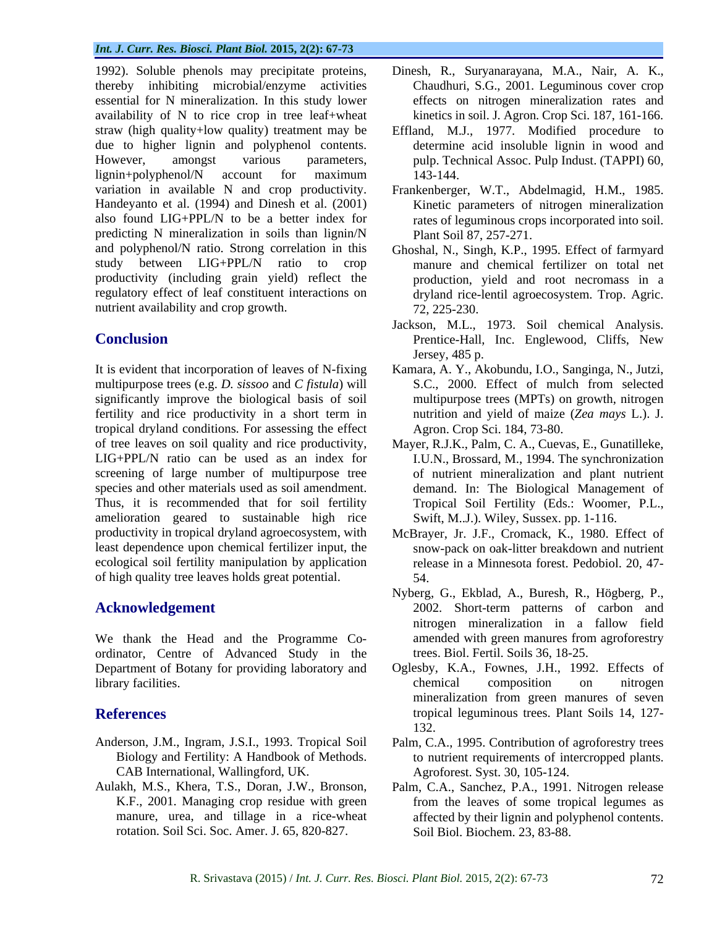1992). Soluble phenols may precipitate proteins, Dinesh, R., Suryanarayana, M.A., Nair, A. K., thereby inhibiting microbial/enzyme activities essential for N mineralization. In this study lower effects on nitrogen mineralization rates and availability of N to rice crop in tree leaf+wheat straw (high quality+low quality) treatment may be Effland, M.J., 1977. Modified procedure to due to higher lignin and polyphenol contents. However, amongst various parameters, pulp. Technical Assoc. Pulp Indust. (TAPPI) 60, lignin+polyphenol/N account for maximum variation in available N and crop productivity. Frankenberger, W.T., Abdelmagid, H.M., 1985. Handeyanto et al. (1994) and Dinesh et al. (2001) also found LIG+PPL/N to be a better index for rates of leguminous crops incorporated into soil. predicting N mineralization in soils than lignin/N and polyphenol/N ratio. Strong correlation in this Ghoshal, N., Singh, K.P., 1995. Effect of farmyard study between LIG+PPL/N ratio to crop manure and chemical fertilizer on total net productivity (including grain yield) reflect the regulatory effect of leaf constituent interactions on dryland rice-lentil agroecosystem. Trop. Agric. nutrient availability and crop growth.  $72, 225-230$ .

It is evident that incorporation of leaves of N-fixing Kamara, A. Y., Akobundu, I.O., Sanginga, N., Jutzi, multipurpose trees (e.g. *D. sissoo* and *C fistula*) will significantly improve the biological basis of soil multipurpose trees (MPTs) on growth, nitrogen fertility and rice productivity in a short term in multrition and yield of maize (Zea mays L.). J. tropical dryland conditions. For assessing the effect of tree leaves on soil quality and rice productivity, Mayer, R.J.K., Palm, C. A., Cuevas, E., Gunatilleke, LIG+PPL/N ratio can be used as an index for I.U.N., Brossard, M., 1994. The synchronization screening of large number of multipurpose tree species and other materials used as soil amendment. demand. In: The Biological Management of Thus, it is recommended that for soil fertility Tropical Soil Fertility (Eds.: Woomer, P.L., amelioration geared to sustainable high rice Swift, M.J.). Wiley, Sussex pp. 1-116. productivity in tropical dryland agroecosystem, with McBrayer, Jr. J.F., Cromack, K., 1980. Effect of least dependence upon chemical fertilizer input, the ecological soil fertility manipulation by application of high quality tree leaves holds great potential.

We thank the Head and the Programme Co ordinator, Centre of Advanced Study in the Department of Botany for providing laboratory and Oglesby, K.A., Fownes, J.H., 1992. Effects of library facilities. The composition of the composition of the introgene introgene in the composition of the introgene introgene in the composition of the introgene introgene in the composition of the introgene introgene in

- Anderson, J.M., Ingram, J.S.I., 1993. Tropical Soil Palm, C.A., 1995. Contribution of agroforestry trees CAB International, Wallingford, UK.
- Aulakh, M.S., Khera, T.S., Doran, J.W., Bronson, Palm, C.A., Sanchez, P.A., 1991. Nitrogen release rotation. Soil Sci. Soc. Amer. J. 65, 820-827.
- Chaudhuri, S.G., 2001. Leguminous cover crop kinetics in soil. J. Agron. Crop Sci. 187, 161-166.
- determine acid insoluble lignin in wood and 143-144.
- Kinetic parameters of nitrogen mineralization Plant Soil 87, 257-271.
- production, yield and root necromass in a 72, 225-230.
- **Conclusion** Prentice-Hall, Inc. Englewood, Cliffs, New Jackson, M.L., 1973. Soil chemical Analysis. Jersey, 485 p.
	- S.C., 2000. Effect of mulch from selected nutrition and yield of maize (*Zea mays* L.). J. Agron. Crop Sci. 184, 73-80.
	- of nutrient mineralization and plant nutrient Tropical Soil Fertility (Eds.: Woomer, P.L., Swift, M..J.). Wiley, Sussex. pp. 1-116.
	- snow-pack on oak-litter breakdown and nutrient release in a Minnesota forest. Pedobiol. 20, 47- 54.
- **Acknowledgement** 2002. Short-term patterns of carbon and Nyberg, G., Ekblad, A., Buresh, R., Högberg, P., nitrogen mineralization in a fallow field amended with green manures from agroforestry trees. Biol. Fertil. Soils 36, 18-25.
- **References** tropical leguminous trees. Plant Soils 14, 127 chemical composition on nitrogen mineralization from green manures of seven 132.
	- Biology and Fertility: A Handbook of Methods. to nutrient requirements of intercropped plants. Agroforest. Syst. 30, 105-124.
	- K.F., 2001. Managing crop residue with green from the leaves of some tropical legumes as manure, urea, and tillage in a rice-wheat affected by their lignin and polyphenol contents. Soil Biol. Biochem. 23, 83-88.